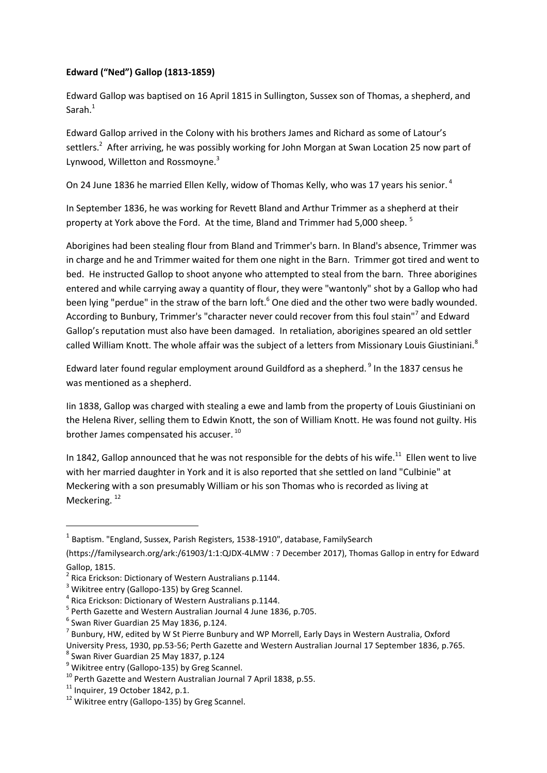## **Edward ("Ned") Gallop (1813-1859)**

Edward Gallop was baptised on 16 April 1815 in Sullington, Sussex son of Thomas, a shepherd, and Sarah.<sup>1</sup>

Edward Gallop arrived in the Colony with his brothers James and Richard as some of Latour's settlers.<sup>2</sup> After arriving, he was possibly working for John Morgan at Swan Location 25 now part of Lynwood, Willetton and Rossmoyne.<sup>3</sup>

On 24 June 1836 he married Ellen Kelly, widow of Thomas Kelly, who was 17 years his senior.<sup>4</sup>

In September 1836, he was working for Revett Bland and Arthur Trimmer as a shepherd at their property at York above the Ford. At the time, Bland and Trimmer had 5,000 sheep.<sup>5</sup>

Aborigines had been stealing flour from Bland and Trimmer's barn. In Bland's absence, Trimmer was in charge and he and Trimmer waited for them one night in the Barn. Trimmer got tired and went to bed. He instructed Gallop to shoot anyone who attempted to steal from the barn. Three aborigines entered and while carrying away a quantity of flour, they were "wantonly" shot by a Gallop who had been lying "perdue" in the straw of the barn loft.<sup>6</sup> One died and the other two were badly wounded. According to Bunbury, Trimmer's "character never could recover from this foul stain"<sup>7</sup> and Edward Gallop's reputation must also have been damaged. In retaliation, aborigines speared an old settler called William Knott. The whole affair was the subject of a letters from Missionary Louis Giustiniani.<sup>8</sup>

Edward later found regular employment around Guildford as a shepherd.<sup>9</sup> In the 1837 census he was mentioned as a shepherd.

Iin 1838, Gallop was charged with stealing a ewe and lamb from the property of Louis Giustiniani on the Helena River, selling them to Edwin Knott, the son of William Knott. He was found not guilty. His brother James compensated his accuser. <sup>10</sup>

In 1842, Gallop announced that he was not responsible for the debts of his wife.<sup>11</sup> Ellen went to live with her married daughter in York and it is also reported that she settled on land "Culbinie" at Meckering with a son presumably William or his son Thomas who is recorded as living at Meckering.<sup>12</sup>

1

 $^{1}$  Baptism. "England, Sussex, Parish Registers, 1538-1910", database, FamilySearch

[<sup>\(</sup>https://familysearch.org/ark:/61903/1:1:QJDX-4LMW](https://familysearch.org/ark:/61903/1:1:QJDX-4LMW) : 7 December 2017), Thomas Gallop in entry for Edward Gallop, 1815.

<sup>&</sup>lt;sup>2</sup> Rica Erickson: Dictionary of Western Australians p.1144.

<sup>&</sup>lt;sup>3</sup> Wikitree entry (Gallopo-135) by Greg Scannel.

<sup>4</sup> Rica Erickson: Dictionary of Western Australians p.1144.

<sup>5</sup> Perth Gazette and Western Australian Journal 4 June 1836, p.705.

 $<sup>6</sup>$  Swan River Guardian 25 May 1836, p.124.</sup>

 $^7$  Bunbury, HW, edited by W St Pierre Bunbury and WP Morrell, Early Days in Western Australia, Oxford

University Press, 1930, pp.53-56; Perth Gazette and Western Australian Journal 17 September 1836, p.765.

<sup>8</sup> Swan River Guardian 25 May 1837, p.124

<sup>&</sup>lt;sup>9</sup> Wikitree entry (Gallopo-135) by Greg Scannel.

 $10$  Perth Gazette and Western Australian Journal 7 April 1838, p.55.

 $11$  Inquirer, 19 October 1842, p.1.

<sup>&</sup>lt;sup>12</sup> Wikitree entry (Gallopo-135) by Greg Scannel.